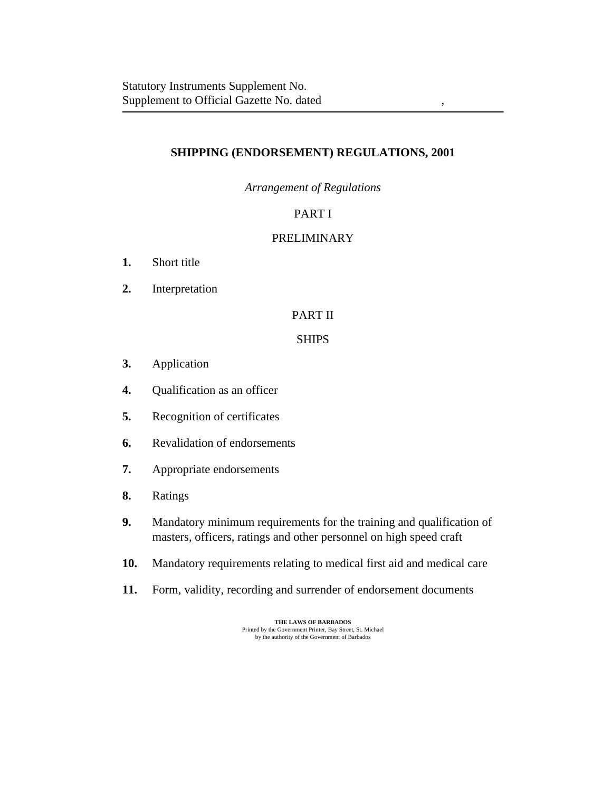# **SHIPPING (ENDORSEMENT) REGULATIONS, 2001**

*Arrangement of Regulations*

# PART I

# [PRELIMINARY](#page-2-0)

- [Short title](#page-2-0) **1.**
- [Interpretation](#page-2-0) **2.**

# [PART II](#page-4-0)

# **SHIPS**

- [Application](#page-4-0) **3.**
- [Qualification as an officer](#page-4-0) **4.**
- [Recognition of certificates](#page-5-0) **5.**
- [Revalidation of endorsements](#page-5-0) **6.**
- [Appropriate endorsements](#page-6-0) **7.**
- [Ratings](#page-6-0) **8.**
- [Mandatory minimum requirements for the training and qualification of](#page-7-0) masters, officers, ratings and other personnel on high speed craft **9.**
- [Mandatory requirements relating to medical first aid and medical care](#page-7-0) **10.**
- [Form, validity, recording and surrender of endorsement documents](#page-8-0) **11.**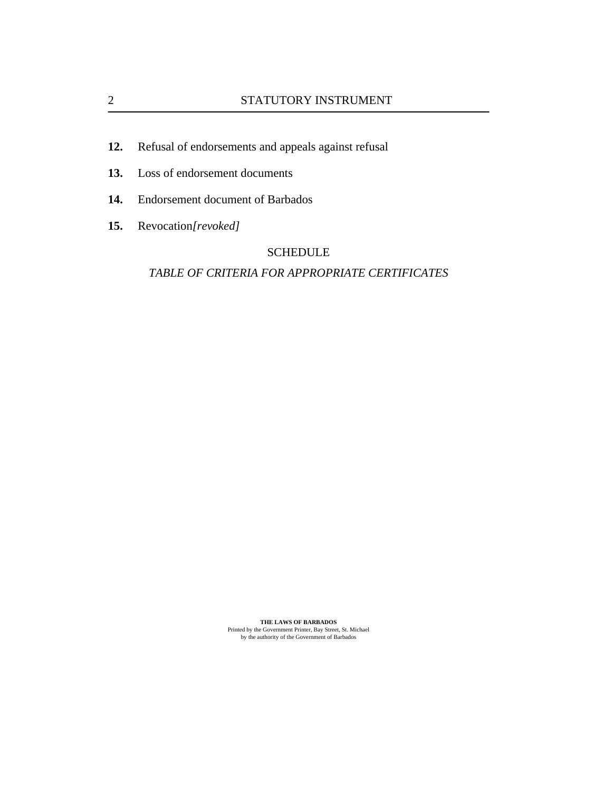- [Refusal of endorsements and appeals against refusal](#page-9-0) **12.**
- [Loss of endorsement documents](#page-9-0) **13.**
- [Endorsement document of Barbados](#page-9-0) **14.**
- [Revocation](#page-10-0)*[revoked]* **15.**

# SCHEDULE

### *[TABLE OF CRITERIA FOR APPROPRIATE CERTIFICATES](#page-11-0)*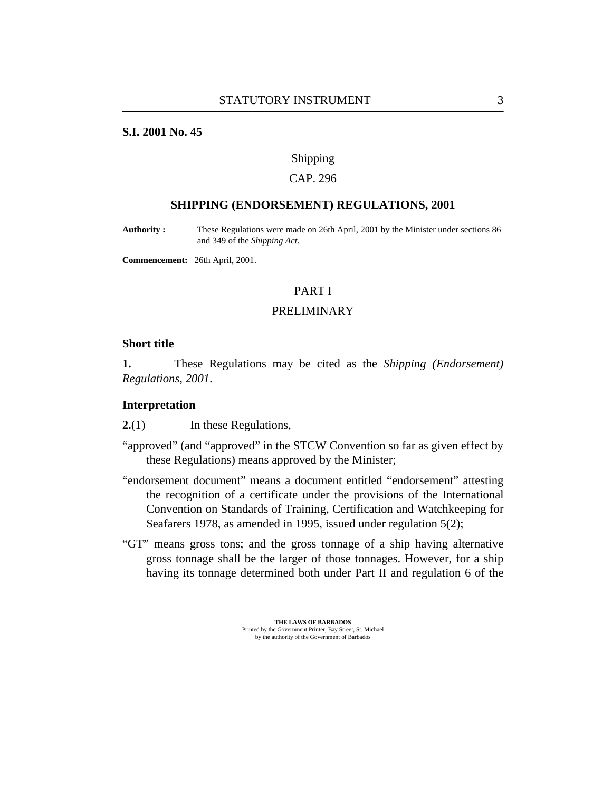### <span id="page-2-0"></span>**S.I. 2001 No. 45**

#### Shipping

## CAP. 296

### **SHIPPING (ENDORSEMENT) REGULATIONS, 2001**

These Regulations were made on 26th April, 2001 by the Minister under sections 86 and 349 of the *Shipping Act*. **Authority :**

**Commencement:** 26th April, 2001.

### PART I

### PRELIMINARY

### **Short title**

These Regulations may be cited as the *Shipping (Endorsement) Regulations, 2001*. **1.**

#### **Interpretation**

In these Regulations, **2.**(1)

- "approved" (and "approved" in the STCW Convention so far as given effect by these Regulations) means approved by the Minister;
- "endorsement document" means a document entitled "endorsement" attesting the recognition of a certificate under the provisions of the International Convention on Standards of Training, Certification and Watchkeeping for Seafarers 1978, as amended in 1995, issued under [regulation 5\(2\);](#page-5-0)
- "GT" means gross tons; and the gross tonnage of a ship having alternative gross tonnage shall be the larger of those tonnages. However, for a ship having its tonnage determined both under Part II and regulation 6 of the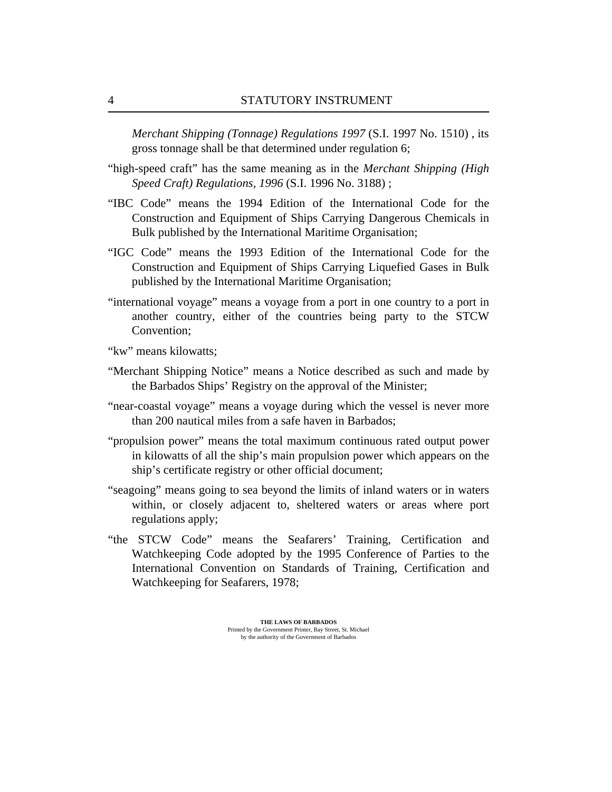*[Merchant Shipping \(Tonnage\) Regulations 1997](http://vm-lims2008:8480/en/showdoc/cr/)* (S.I. 1997 No. 1510) , its gross tonnage shall be that determined under [regulation 6](#page-5-0);

- "high-speed craft" has the same meaning as in the *[Merchant Shipping \(High](http://vm-lims2008:8480/en/showdoc/cr/) [Speed Craft\) Regulations, 1996](http://vm-lims2008:8480/en/showdoc/cr/)* (S.I. 1996 No. 3188) ;
- "IBC Code" means the 1994 Edition of the International Code for the Construction and Equipment of Ships Carrying Dangerous Chemicals in Bulk published by the International Maritime Organisation;
- "IGC Code" means the 1993 Edition of the International Code for the Construction and Equipment of Ships Carrying Liquefied Gases in Bulk published by the International Maritime Organisation;
- "international voyage" means a voyage from a port in one country to a port in another country, either of the countries being party to the STCW Convention;
- "kw" means kilowatts;
- "Merchant Shipping Notice" means a Notice described as such and made by the Barbados Ships' Registry on the approval of the Minister;
- "near-coastal voyage" means a voyage during which the vessel is never more than 200 nautical miles from a safe haven in Barbados;
- "propulsion power" means the total maximum continuous rated output power in kilowatts of all the ship's main propulsion power which appears on the ship's certificate registry or other official document;
- "seagoing" means going to sea beyond the limits of inland waters or in waters within, or closely adjacent to, sheltered waters or areas where port regulations apply;
- "the STCW Code" means the Seafarers' Training, Certification and Watchkeeping Code adopted by the 1995 Conference of Parties to the International Convention on Standards of Training, Certification and Watchkeeping for Seafarers, 1978;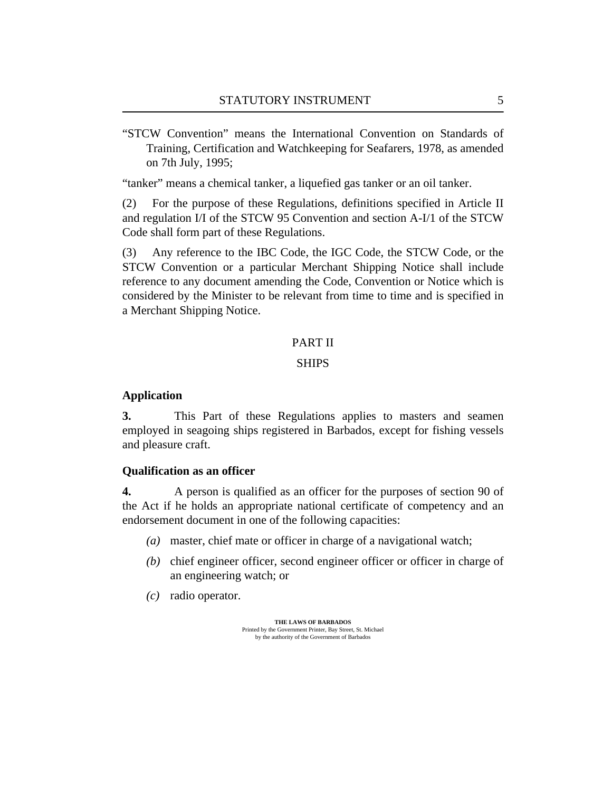<span id="page-4-0"></span>"STCW Convention" means the International Convention on Standards of Training, Certification and Watchkeeping for Seafarers, 1978, as amended on 7th July, 1995;

"tanker" means a chemical tanker, a liquefied gas tanker or an oil tanker.

For the purpose of these Regulations, definitions specified in Article II and regulation I/I of the STCW 95 Convention and section A-I/1 of the STCW Code shall form part of these Regulations. (2)

Any reference to the IBC Code, the IGC Code, the STCW Code, or the STCW Convention or a particular Merchant Shipping Notice shall include reference to any document amending the Code, Convention or Notice which is considered by the Minister to be relevant from time to time and is specified in a Merchant Shipping Notice. (3)

# PART II

### SHIPS

### **Application**

This Part of these Regulations applies to masters and seamen employed in seagoing ships registered in Barbados, except for fishing vessels and pleasure craft. **3.**

#### **Qualification as an officer**

A person is qualified as an officer for the purposes of section 90 of the Act if he holds an appropriate national certificate of competency and an endorsement document in one of the following capacities: **4.**

- master, chief mate or officer in charge of a navigational watch; *(a)*
- (b) chief engineer officer, second engineer officer or officer in charge of an engineering watch; or
- radio operator. *(c)*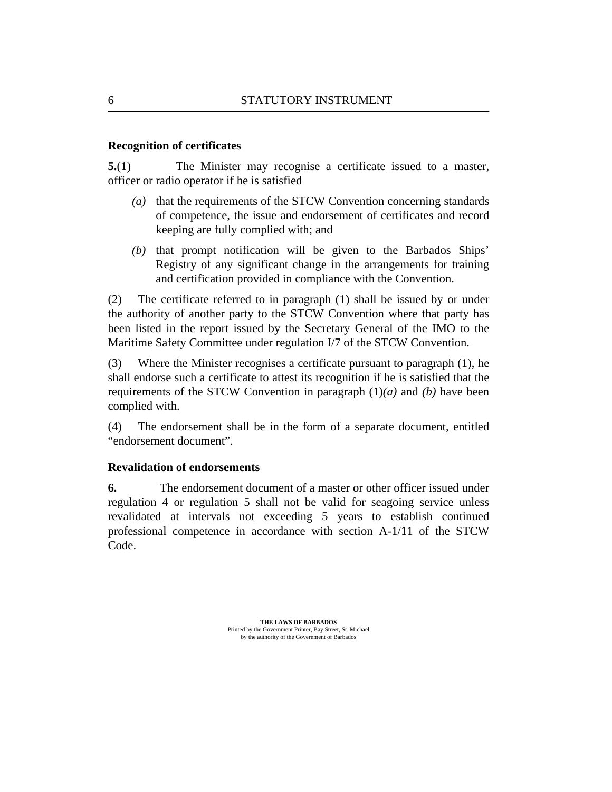### <span id="page-5-0"></span>**Recognition of certificates**

The Minister may recognise a certificate issued to a master, officer or radio operator if he is satisfied **5.**(1)

- (a) that the requirements of the STCW Convention concerning standards of competence, the issue and endorsement of certificates and record keeping are fully complied with; and
- $(b)$  that prompt notification will be given to the Barbados Ships' Registry of any significant change in the arrangements for training and certification provided in compliance with the Convention.

The certificate referred to in paragraph (1) shall be issued by or under the authority of another party to the STCW Convention where that party has been listed in the report issued by the Secretary General of the IMO to the Maritime Safety Committee under regulation I/7 of the STCW Convention. (2)

Where the Minister recognises a certificate pursuant to paragraph (1), he shall endorse such a certificate to attest its recognition if he is satisfied that the requirements of the STCW Convention in paragraph (1)*(a)* and *(b)* have been complied with. (3)

The endorsement shall be in the form of a separate document, entitled "endorsement document". (4)

### **Revalidation of endorsements**

The endorsement document of a master or other officer issued under [regulation 4](#page-4-0) or regulation 5 shall not be valid for seagoing service unless revalidated at intervals not exceeding 5 years to establish continued professional competence in accordance with section A-1/11 of the STCW Code. **6.**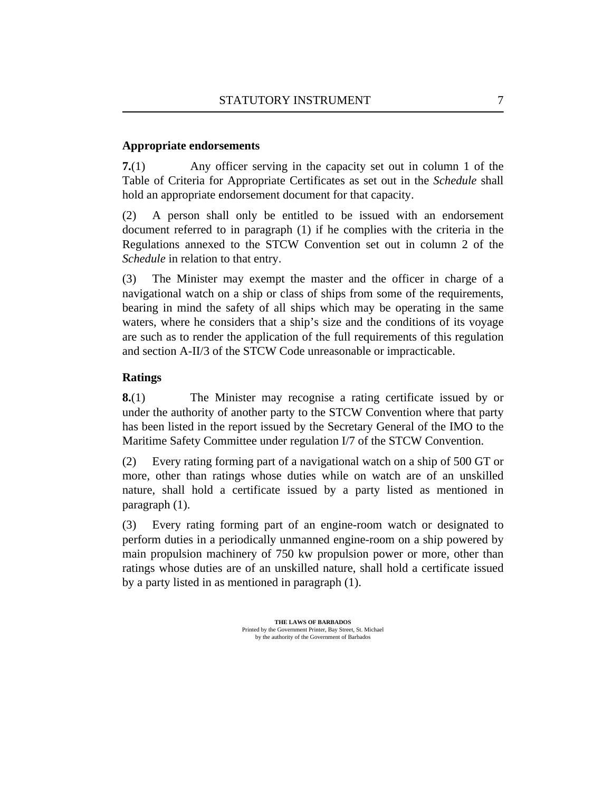# <span id="page-6-0"></span>**Appropriate endorsements**

Any officer serving in the capacity set out in column 1 of the Table of Criteria for Appropriate Certificates as set out in the *[Schedule](#page-11-0)* shall hold an appropriate endorsement document for that capacity. **7.**(1)

A person shall only be entitled to be issued with an endorsement document referred to in paragraph (1) if he complies with the criteria in the Regulations annexed to the STCW Convention set out in column 2 of the *[Schedule](#page-11-0)* in relation to that entry. (2)

The Minister may exempt the master and the officer in charge of a navigational watch on a ship or class of ships from some of the requirements, bearing in mind the safety of all ships which may be operating in the same waters, where he considers that a ship's size and the conditions of its voyage are such as to render the application of the full requirements of this regulation and section A-II/3 of the STCW Code unreasonable or impracticable. (3)

# **Ratings**

The Minister may recognise a rating certificate issued by or under the authority of another party to the STCW Convention where that party has been listed in the report issued by the Secretary General of the IMO to the Maritime Safety Committee under regulation I/7 of the STCW Convention. **8.**(1)

Every rating forming part of a navigational watch on a ship of 500 GT or more, other than ratings whose duties while on watch are of an unskilled nature, shall hold a certificate issued by a party listed as mentioned in paragraph (1). (2)

Every rating forming part of an engine-room watch or designated to perform duties in a periodically unmanned engine-room on a ship powered by main propulsion machinery of 750 kw propulsion power or more, other than ratings whose duties are of an unskilled nature, shall hold a certificate issued by a party listed in as mentioned in paragraph (1). (3)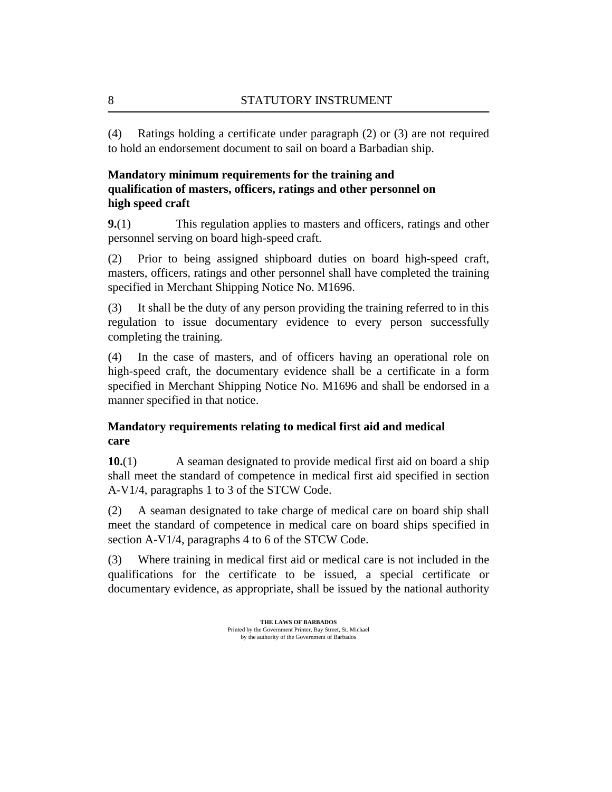Ratings holding a certificate under paragraph (2) or (3) are not required to hold an endorsement document to sail on board a Barbadian ship. (4)

# **Mandatory minimum requirements for the training and qualification of masters, officers, ratings and other personnel on high speed craft**

This regulation applies to masters and officers, ratings and other personnel serving on board high-speed craft. **9.**(1)

Prior to being assigned shipboard duties on board high-speed craft, masters, officers, ratings and other personnel shall have completed the training specified in Merchant Shipping Notice No. M1696. (2)

It shall be the duty of any person providing the training referred to in this regulation to issue documentary evidence to every person successfully completing the training. (3)

In the case of masters, and of officers having an operational role on high-speed craft, the documentary evidence shall be a certificate in a form specified in Merchant Shipping Notice No. M1696 and shall be endorsed in a manner specified in that notice. (4)

# **Mandatory requirements relating to medical first aid and medical care**

A seaman designated to provide medical first aid on board a ship shall meet the standard of competence in medical first aid specified in section A-V1/4, paragraphs 1 to 3 of the STCW Code. **10.**(1)

A seaman designated to take charge of medical care on board ship shall meet the standard of competence in medical care on board ships specified in section A-V1/4, paragraphs 4 to 6 of the STCW Code. (2)

Where training in medical first aid or medical care is not included in the qualifications for the certificate to be issued, a special certificate or documentary evidence, as appropriate, shall be issued by the national authority (3)

<span id="page-7-0"></span>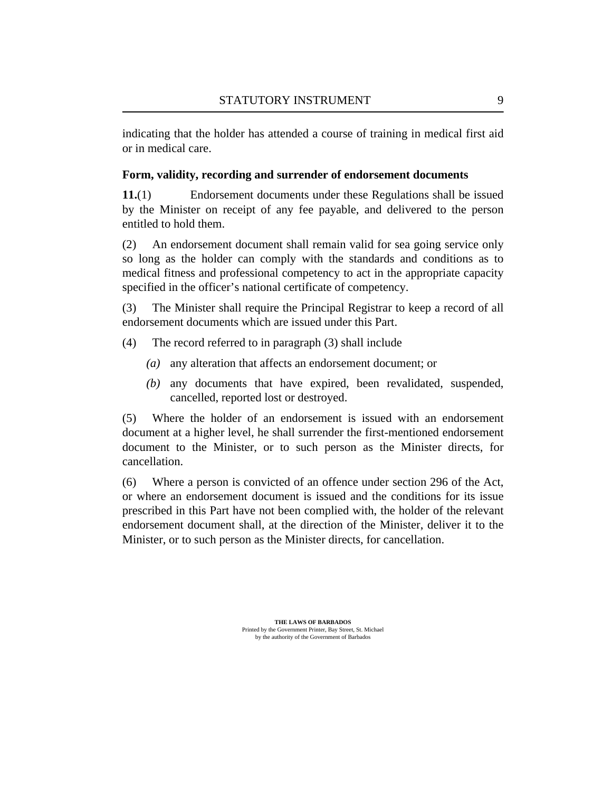<span id="page-8-0"></span>indicating that the holder has attended a course of training in medical first aid or in medical care.

# **Form, validity, recording and surrender of endorsement documents**

Endorsement documents under these Regulations shall be issued by the Minister on receipt of any fee payable, and delivered to the person entitled to hold them. **11.**(1)

An endorsement document shall remain valid for sea going service only so long as the holder can comply with the standards and conditions as to medical fitness and professional competency to act in the appropriate capacity specified in the officer's national certificate of competency. (2)

The Minister shall require the Principal Registrar to keep a record of all endorsement documents which are issued under this Part. (3)

- The record referred to in paragraph (3) shall include (4)
	- (a) any alteration that affects an endorsement document; or
	- any documents that have expired, been revalidated, suspended, *(b)* cancelled, reported lost or destroyed.

Where the holder of an endorsement is issued with an endorsement document at a higher level, he shall surrender the first-mentioned endorsement document to the Minister, or to such person as the Minister directs, for cancellation. (5)

Where a person is convicted of an offence under section 296 of the Act, or where an endorsement document is issued and the conditions for its issue prescribed in this Part have not been complied with, the holder of the relevant endorsement document shall, at the direction of the Minister, deliver it to the Minister, or to such person as the Minister directs, for cancellation. (6)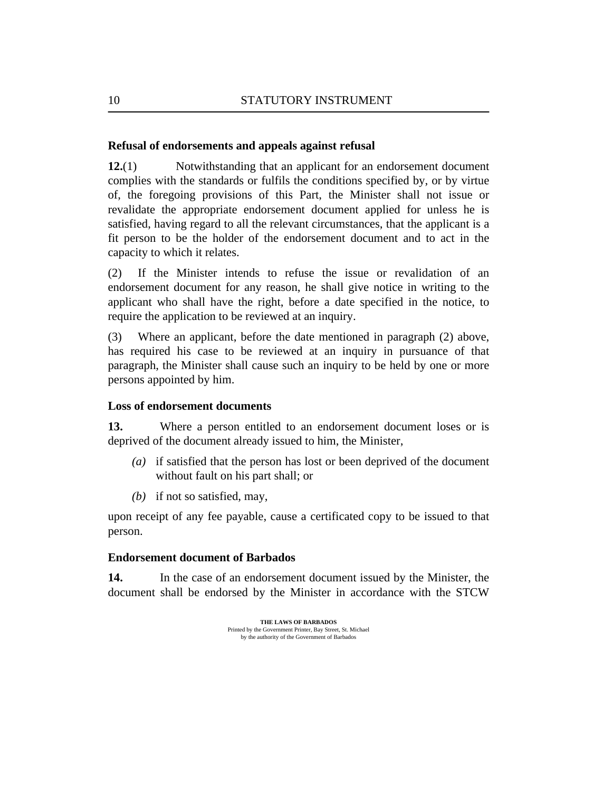### <span id="page-9-0"></span>**Refusal of endorsements and appeals against refusal**

Notwithstanding that an applicant for an endorsement document complies with the standards or fulfils the conditions specified by, or by virtue of, the foregoing provisions of this Part, the Minister shall not issue or revalidate the appropriate endorsement document applied for unless he is satisfied, having regard to all the relevant circumstances, that the applicant is a fit person to be the holder of the endorsement document and to act in the capacity to which it relates. **12.**(1)

If the Minister intends to refuse the issue or revalidation of an endorsement document for any reason, he shall give notice in writing to the applicant who shall have the right, before a date specified in the notice, to require the application to be reviewed at an inquiry. (2)

Where an applicant, before the date mentioned in paragraph (2) above, has required his case to be reviewed at an inquiry in pursuance of that paragraph, the Minister shall cause such an inquiry to be held by one or more persons appointed by him. (3)

# **Loss of endorsement documents**

Where a person entitled to an endorsement document loses or is deprived of the document already issued to him, the Minister, **13.**

- if satisfied that the person has lost or been deprived of the document *(a)* without fault on his part shall; or
- if not so satisfied, may, *(b)*

upon receipt of any fee payable, cause a certificated copy to be issued to that person.

### **Endorsement document of Barbados**

In the case of an endorsement document issued by the Minister, the document shall be endorsed by the Minister in accordance with the STCW **14.**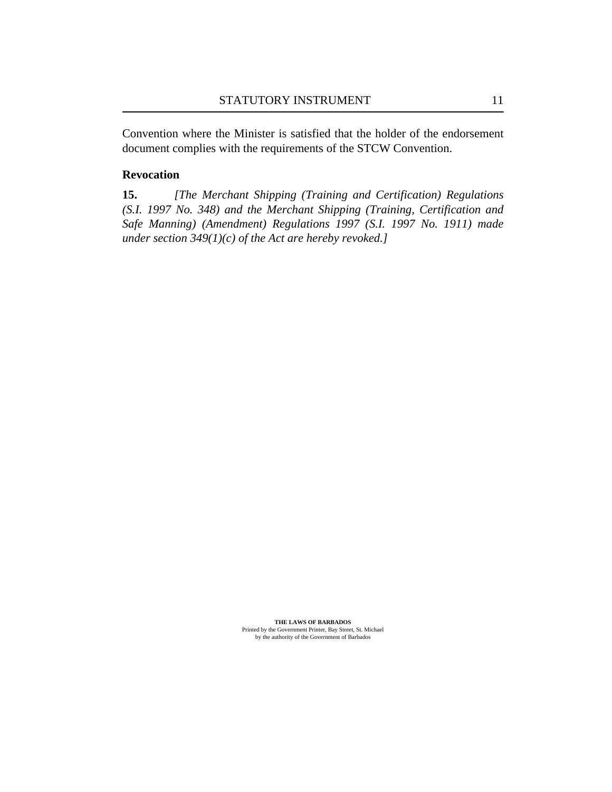<span id="page-10-0"></span>Convention where the Minister is satisfied that the holder of the endorsement document complies with the requirements of the STCW Convention.

#### **Revocation**

*[The [Merchant Shipping \(Training and Certification\) Regulations](http://vm-lims2008:8480/en/showdoc/cr/) [\(S.I. 1997 No. 348\) a](http://vm-lims2008:8480/en/showdoc/cr/)nd the [Merchant Shipping \(Training, Certification and](http://vm-lims2008:8480/en/showdoc/cr/) [Safe Manning\) \(Amendment\) Regulations 1997 \(S.I. 1997 No. 1911\)](http://vm-lims2008:8480/en/showdoc/cr/) made under section 349(1)(c) of the Act are hereby revoked.]* **15.**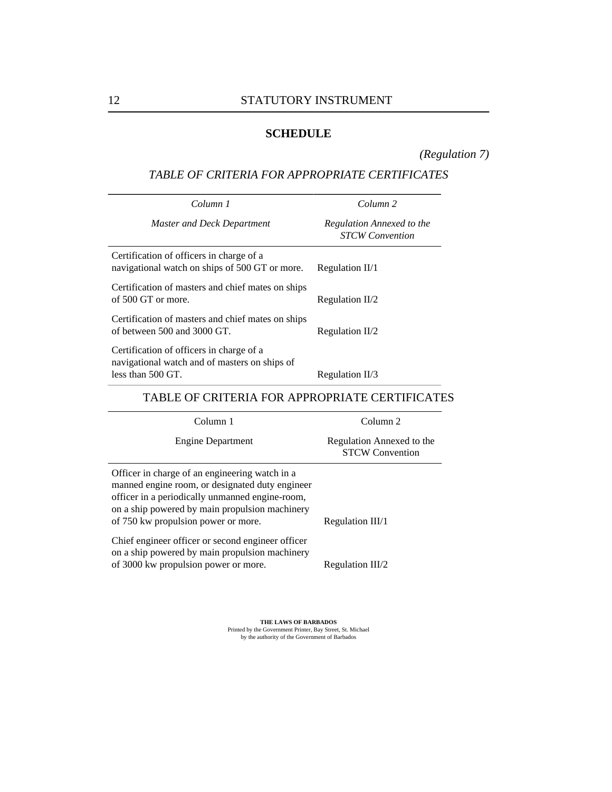# **SCHEDULE**

*([Regulation 7\)](#page-6-0)*

# <span id="page-11-0"></span>*TABLE OF CRITERIA FOR APPROPRIATE CERTIFICATES*

| Column 1                                                                                                         | Column <sub>2</sub>                                 |
|------------------------------------------------------------------------------------------------------------------|-----------------------------------------------------|
| Master and Deck Department                                                                                       | Regulation Annexed to the<br><b>STCW</b> Convention |
| Certification of officers in charge of a<br>navigational watch on ships of 500 GT or more.                       | Regulation $II/1$                                   |
| Certification of masters and chief mates on ships<br>of 500 GT or more.                                          | Regulation $II/2$                                   |
| Certification of masters and chief mates on ships<br>of between 500 and 3000 GT.                                 | Regulation $II/2$                                   |
| Certification of officers in charge of a<br>navigational watch and of masters on ships of<br>less than $500$ GT. | Regulation II/3                                     |

# TABLE OF CRITERIA FOR APPROPRIATE CERTIFICATES

| Column 1                                                                                                                                                                                                                                      | Column 2                                            |
|-----------------------------------------------------------------------------------------------------------------------------------------------------------------------------------------------------------------------------------------------|-----------------------------------------------------|
| Engine Department                                                                                                                                                                                                                             | Regulation Annexed to the<br><b>STCW Convention</b> |
| Officer in charge of an engineering watch in a<br>manned engine room, or designated duty engineer<br>officer in a periodically unmanned engine-room,<br>on a ship powered by main propulsion machinery<br>of 750 kw propulsion power or more. | Regulation III/1                                    |
| Chief engineer officer or second engineer officer<br>on a ship powered by main propulsion machinery<br>of 3000 kw propulsion power or more.                                                                                                   | Regulation III/2                                    |